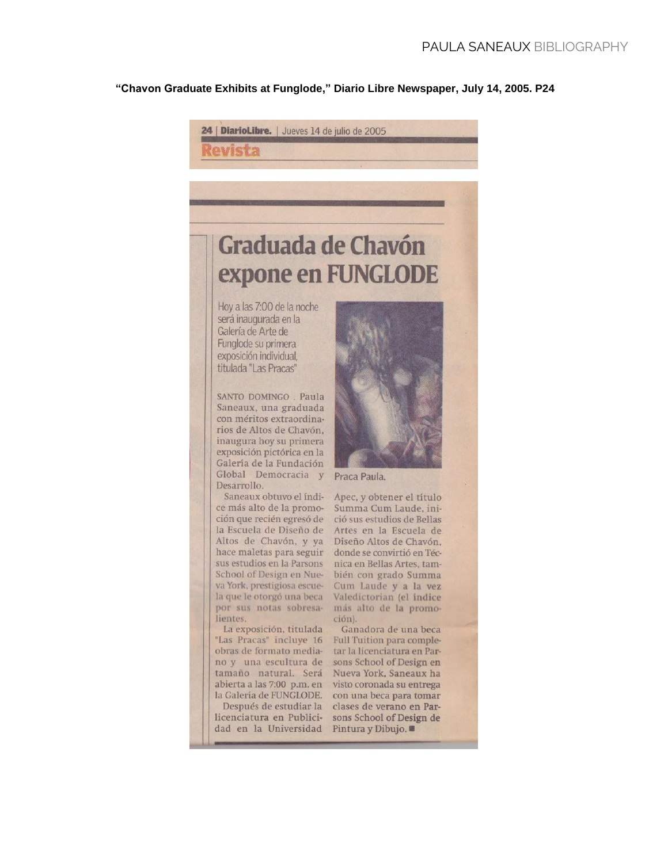## **"Chavon Graduate Exhibits at Funglode," Diario Libre Newspaper, July 14, 2005. P24**